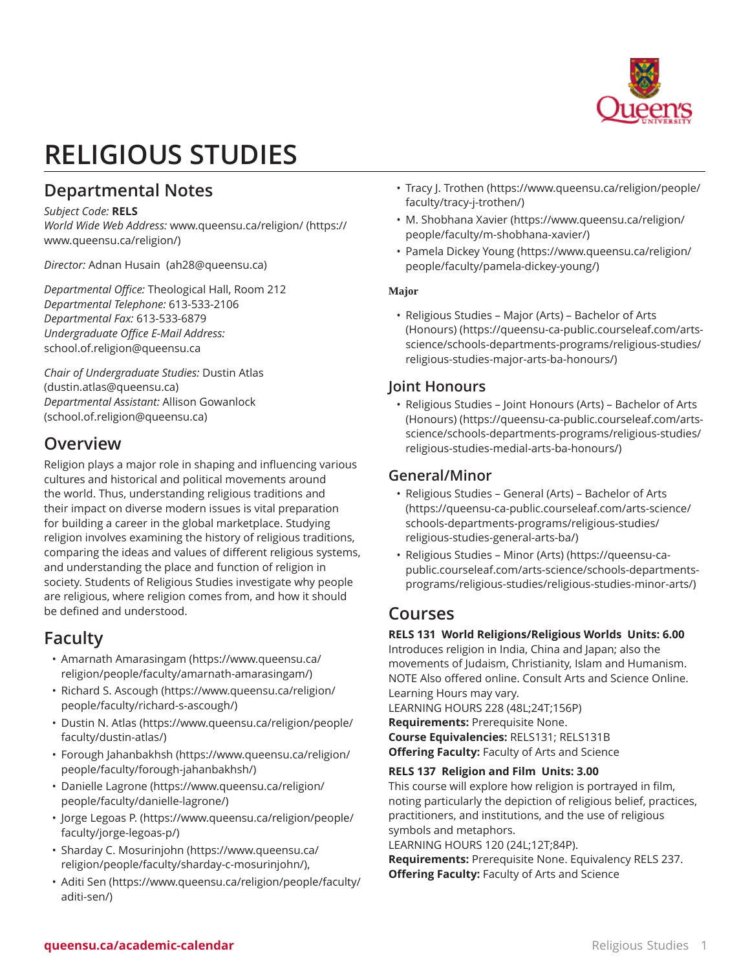

# **RELIGIOUS STUDIES**

# **Departmental Notes**

#### *Subject Code:* **RELS**

*World Wide Web Address:* [www.queensu.ca/religion/](https://www.queensu.ca/religion/) ([https://](https://www.queensu.ca/religion/) [www.queensu.ca/religion/\)](https://www.queensu.ca/religion/)

*Director:* [Adnan Husain](mailto:ah28@queensu.ca)  [\(ah28@queensu.ca](ah28@queensu.ca))

*Departmental Office:* Theological Hall, Room 212 *Departmental Telephone:* 613-533-2106 *Departmental Fax:* 613-533-6879 *Undergraduate Office E-Mail Address:* [school.of.religion@queensu.ca](mailto:school.of.religion@queensu.ca)

*Chair of Undergraduate Studies:* [Dustin Atlas](mailto:dustin.atlas@queensu.ca) (<dustin.atlas@queensu.ca>) *Departmental Assistant:* Allison [Gowanlock](mailto:school.of.religion@queensu.ca) ([school.of.religion@queensu.ca\)](school.of.religion@queensu.ca)

# **Overview**

Religion plays a major role in shaping and influencing various cultures and historical and political movements around the world. Thus, understanding religious traditions and their impact on diverse modern issues is vital preparation for building a career in the global marketplace. Studying religion involves examining the history of religious traditions, comparing the ideas and values of different religious systems, and understanding the place and function of religion in society. Students of Religious Studies investigate why people are religious, where religion comes from, and how it should be defined and understood.

# **Faculty**

- Amarnath [Amarasingam](https://www.queensu.ca/religion/people/faculty/amarnath-amarasingam/) [\(https://www.queensu.ca/](https://www.queensu.ca/religion/people/faculty/amarnath-amarasingam/) [religion/people/faculty/amarnath-amarasingam/](https://www.queensu.ca/religion/people/faculty/amarnath-amarasingam/))
- Richard S. [Ascough](https://www.queensu.ca/religion/people/faculty/richard-s-ascough/) [\(https://www.queensu.ca/religion/](https://www.queensu.ca/religion/people/faculty/richard-s-ascough/) [people/faculty/richard-s-ascough/](https://www.queensu.ca/religion/people/faculty/richard-s-ascough/))
- [Dustin N. Atlas](https://www.queensu.ca/religion/people/faculty/dustin-atlas/) ([https://www.queensu.ca/religion/people/](https://www.queensu.ca/religion/people/faculty/dustin-atlas/) [faculty/dustin-atlas/](https://www.queensu.ca/religion/people/faculty/dustin-atlas/))
- Forough [Jahanbakhsh](https://www.queensu.ca/religion/people/faculty/forough-jahanbakhsh/) [\(https://www.queensu.ca/religion/](https://www.queensu.ca/religion/people/faculty/forough-jahanbakhsh/) [people/faculty/forough-jahanbakhsh/\)](https://www.queensu.ca/religion/people/faculty/forough-jahanbakhsh/)
- [Danielle](https://www.queensu.ca/religion/people/faculty/danielle-lagrone/) Lagrone [\(https://www.queensu.ca/religion/](https://www.queensu.ca/religion/people/faculty/danielle-lagrone/) [people/faculty/danielle-lagrone/](https://www.queensu.ca/religion/people/faculty/danielle-lagrone/))
- Jorge [Legoas](https://www.queensu.ca/religion/people/faculty/jorge-legoas-p/) P. [\(https://www.queensu.ca/religion/people/](https://www.queensu.ca/religion/people/faculty/jorge-legoas-p/) [faculty/jorge-legoas-p/\)](https://www.queensu.ca/religion/people/faculty/jorge-legoas-p/)
- Sharday C. [Mosurinjohn](https://www.queensu.ca/religion/people/faculty/sharday-c-mosurinjohn/) [\(https://www.queensu.ca/](https://www.queensu.ca/religion/people/faculty/sharday-c-mosurinjohn/) [religion/people/faculty/sharday-c-mosurinjohn/](https://www.queensu.ca/religion/people/faculty/sharday-c-mosurinjohn/)),
- [Aditi Sen](https://www.queensu.ca/religion/people/faculty/aditi-sen/) ([https://www.queensu.ca/religion/people/faculty/](https://www.queensu.ca/religion/people/faculty/aditi-sen/) [aditi-sen/](https://www.queensu.ca/religion/people/faculty/aditi-sen/))
- Tracy J. [Trothen](https://www.queensu.ca/religion/people/faculty/tracy-j-trothen/) [\(https://www.queensu.ca/religion/people/](https://www.queensu.ca/religion/people/faculty/tracy-j-trothen/) [faculty/tracy-j-trothen/\)](https://www.queensu.ca/religion/people/faculty/tracy-j-trothen/)
- [M. Shobhana Xavier](https://www.queensu.ca/religion/people/faculty/m-shobhana-xavier/) ([https://www.queensu.ca/religion/](https://www.queensu.ca/religion/people/faculty/m-shobhana-xavier/) [people/faculty/m-shobhana-xavier/\)](https://www.queensu.ca/religion/people/faculty/m-shobhana-xavier/)
- [Pamela](https://www.queensu.ca/religion/people/faculty/pamela-dickey-young/) Dickey Young [\(https://www.queensu.ca/religion/](https://www.queensu.ca/religion/people/faculty/pamela-dickey-young/) [people/faculty/pamela-dickey-young/\)](https://www.queensu.ca/religion/people/faculty/pamela-dickey-young/)

# **Major**

• [Religious Studies – Major \(Arts\) – Bachelor of Arts](https://queensu-ca-public.courseleaf.com/arts-science/schools-departments-programs/religious-studies/religious-studies-major-arts-ba-honours/) [\(Honours\)](https://queensu-ca-public.courseleaf.com/arts-science/schools-departments-programs/religious-studies/religious-studies-major-arts-ba-honours/) [\(https://queensu-ca-public.courseleaf.com/arts](https://queensu-ca-public.courseleaf.com/arts-science/schools-departments-programs/religious-studies/religious-studies-major-arts-ba-honours/)[science/schools-departments-programs/religious-studies/](https://queensu-ca-public.courseleaf.com/arts-science/schools-departments-programs/religious-studies/religious-studies-major-arts-ba-honours/) [religious-studies-major-arts-ba-honours/](https://queensu-ca-public.courseleaf.com/arts-science/schools-departments-programs/religious-studies/religious-studies-major-arts-ba-honours/))

# **Joint Honours**

• [Religious Studies – Joint Honours \(Arts\) – Bachelor of Arts](https://queensu-ca-public.courseleaf.com/arts-science/schools-departments-programs/religious-studies/religious-studies-medial-arts-ba-honours/) [\(Honours\)](https://queensu-ca-public.courseleaf.com/arts-science/schools-departments-programs/religious-studies/religious-studies-medial-arts-ba-honours/) [\(https://queensu-ca-public.courseleaf.com/arts](https://queensu-ca-public.courseleaf.com/arts-science/schools-departments-programs/religious-studies/religious-studies-medial-arts-ba-honours/)[science/schools-departments-programs/religious-studies/](https://queensu-ca-public.courseleaf.com/arts-science/schools-departments-programs/religious-studies/religious-studies-medial-arts-ba-honours/) [religious-studies-medial-arts-ba-honours/](https://queensu-ca-public.courseleaf.com/arts-science/schools-departments-programs/religious-studies/religious-studies-medial-arts-ba-honours/))

# **General/Minor**

- [Religious](https://queensu-ca-public.courseleaf.com/arts-science/schools-departments-programs/religious-studies/religious-studies-general-arts-ba/) Studies General (Arts) Bachelor of Arts ([https://queensu-ca-public.courseleaf.com/arts-science/](https://queensu-ca-public.courseleaf.com/arts-science/schools-departments-programs/religious-studies/religious-studies-general-arts-ba/) [schools-departments-programs/religious-studies/](https://queensu-ca-public.courseleaf.com/arts-science/schools-departments-programs/religious-studies/religious-studies-general-arts-ba/) [religious-studies-general-arts-ba/\)](https://queensu-ca-public.courseleaf.com/arts-science/schools-departments-programs/religious-studies/religious-studies-general-arts-ba/)
- [Religious Studies Minor \(Arts\)](https://queensu-ca-public.courseleaf.com/arts-science/schools-departments-programs/religious-studies/religious-studies-minor-arts/) ([https://queensu-ca](https://queensu-ca-public.courseleaf.com/arts-science/schools-departments-programs/religious-studies/religious-studies-minor-arts/)[public.courseleaf.com/arts-science/schools-departments](https://queensu-ca-public.courseleaf.com/arts-science/schools-departments-programs/religious-studies/religious-studies-minor-arts/)[programs/religious-studies/religious-studies-minor-arts/\)](https://queensu-ca-public.courseleaf.com/arts-science/schools-departments-programs/religious-studies/religious-studies-minor-arts/)

# **Courses**

# **RELS 131 World Religions/Religious Worlds Units: 6.00**

Introduces religion in India, China and Japan; also the movements of Judaism, Christianity, Islam and Humanism. NOTE Also offered online. Consult Arts and Science Online. Learning Hours may vary.

LEARNING HOURS 228 (48L;24T;156P)

**Requirements:** Prerequisite None. **Course Equivalencies:** RELS131; RELS131B **Offering Faculty:** Faculty of Arts and Science

# **RELS 137 Religion and Film Units: 3.00**

This course will explore how religion is portrayed in film, noting particularly the depiction of religious belief, practices, practitioners, and institutions, and the use of religious symbols and metaphors.

LEARNING HOURS 120 (24L;12T;84P). **Requirements:** Prerequisite None. Equivalency RELS 237.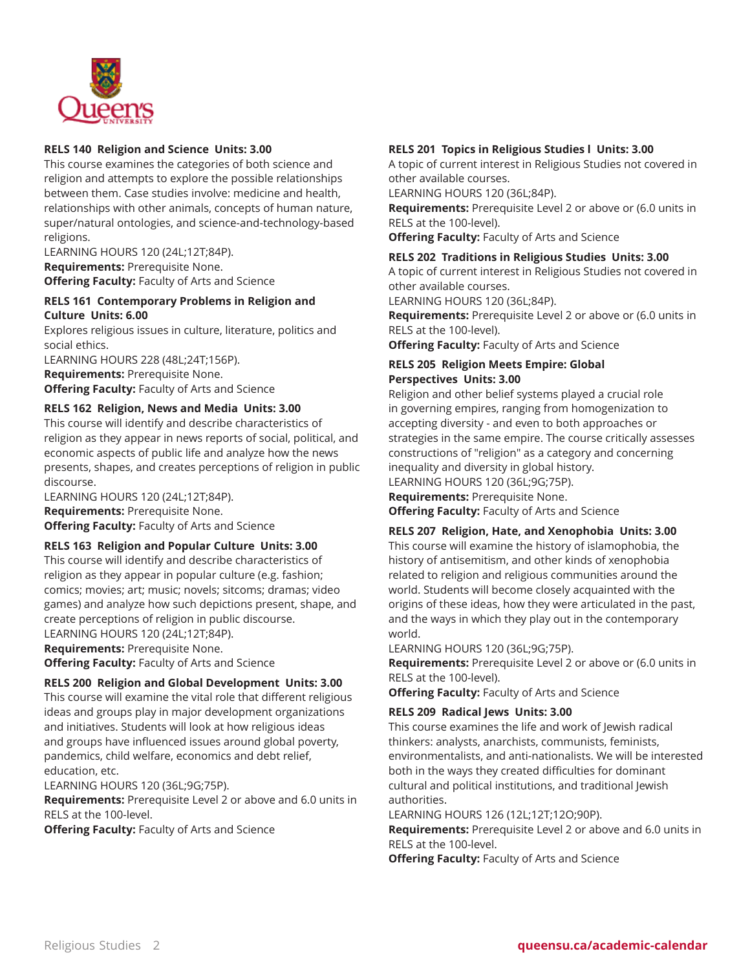

#### **RELS 140 Religion and Science Units: 3.00**

This course examines the categories of both science and religion and attempts to explore the possible relationships between them. Case studies involve: medicine and health, relationships with other animals, concepts of human nature, super/natural ontologies, and science-and-technology-based religions.

LEARNING HOURS 120 (24L;12T;84P).

**Requirements:** Prerequisite None.

**Offering Faculty:** Faculty of Arts and Science

#### **RELS 161 Contemporary Problems in Religion and Culture Units: 6.00**

Explores religious issues in culture, literature, politics and social ethics.

LEARNING HOURS 228 (48L;24T;156P).

**Requirements:** Prerequisite None.

**Offering Faculty:** Faculty of Arts and Science

#### **RELS 162 Religion, News and Media Units: 3.00**

This course will identify and describe characteristics of religion as they appear in news reports of social, political, and economic aspects of public life and analyze how the news presents, shapes, and creates perceptions of religion in public discourse.

LEARNING HOURS 120 (24L;12T;84P). **Requirements:** Prerequisite None. **Offering Faculty:** Faculty of Arts and Science

# **RELS 163 Religion and Popular Culture Units: 3.00**

This course will identify and describe characteristics of religion as they appear in popular culture (e.g. fashion; comics; movies; art; music; novels; sitcoms; dramas; video games) and analyze how such depictions present, shape, and create perceptions of religion in public discourse. LEARNING HOURS 120 (24L;12T;84P). **Requirements:** Prerequisite None.

**Offering Faculty:** Faculty of Arts and Science

#### **RELS 200 Religion and Global Development Units: 3.00**

This course will examine the vital role that different religious ideas and groups play in major development organizations and initiatives. Students will look at how religious ideas and groups have influenced issues around global poverty, pandemics, child welfare, economics and debt relief, education, etc.

LEARNING HOURS 120 (36L;9G;75P).

**Requirements:** Prerequisite Level 2 or above and 6.0 units in RELS at the 100-level.

**Offering Faculty:** Faculty of Arts and Science

#### **RELS 201 Topics in Religious Studies l Units: 3.00**

A topic of current interest in Religious Studies not covered in other available courses.

LEARNING HOURS 120 (36L;84P).

**Requirements:** Prerequisite Level 2 or above or (6.0 units in RELS at the 100-level).

**Offering Faculty:** Faculty of Arts and Science

#### **RELS 202 Traditions in Religious Studies Units: 3.00**

A topic of current interest in Religious Studies not covered in other available courses.

LEARNING HOURS 120 (36L;84P).

**Requirements:** Prerequisite Level 2 or above or (6.0 units in RELS at the 100-level).

**Offering Faculty:** Faculty of Arts and Science

#### **RELS 205 Religion Meets Empire: Global Perspectives Units: 3.00**

Religion and other belief systems played a crucial role in governing empires, ranging from homogenization to accepting diversity - and even to both approaches or strategies in the same empire. The course critically assesses constructions of "religion" as a category and concerning inequality and diversity in global history. LEARNING HOURS 120 (36L;9G;75P).

**Requirements:** Prerequisite None.

**Offering Faculty:** Faculty of Arts and Science

#### **RELS 207 Religion, Hate, and Xenophobia Units: 3.00**

This course will examine the history of islamophobia, the history of antisemitism, and other kinds of xenophobia related to religion and religious communities around the world. Students will become closely acquainted with the origins of these ideas, how they were articulated in the past, and the ways in which they play out in the contemporary world.

LEARNING HOURS 120 (36L;9G;75P).

**Requirements:** Prerequisite Level 2 or above or (6.0 units in RELS at the 100-level).

**Offering Faculty:** Faculty of Arts and Science

#### **RELS 209 Radical Jews Units: 3.00**

This course examines the life and work of Jewish radical thinkers: analysts, anarchists, communists, feminists, environmentalists, and anti-nationalists. We will be interested both in the ways they created difficulties for dominant cultural and political institutions, and traditional Jewish authorities.

LEARNING HOURS 126 (12L;12T;12O;90P).

**Requirements:** Prerequisite Level 2 or above and 6.0 units in RELS at the 100-level.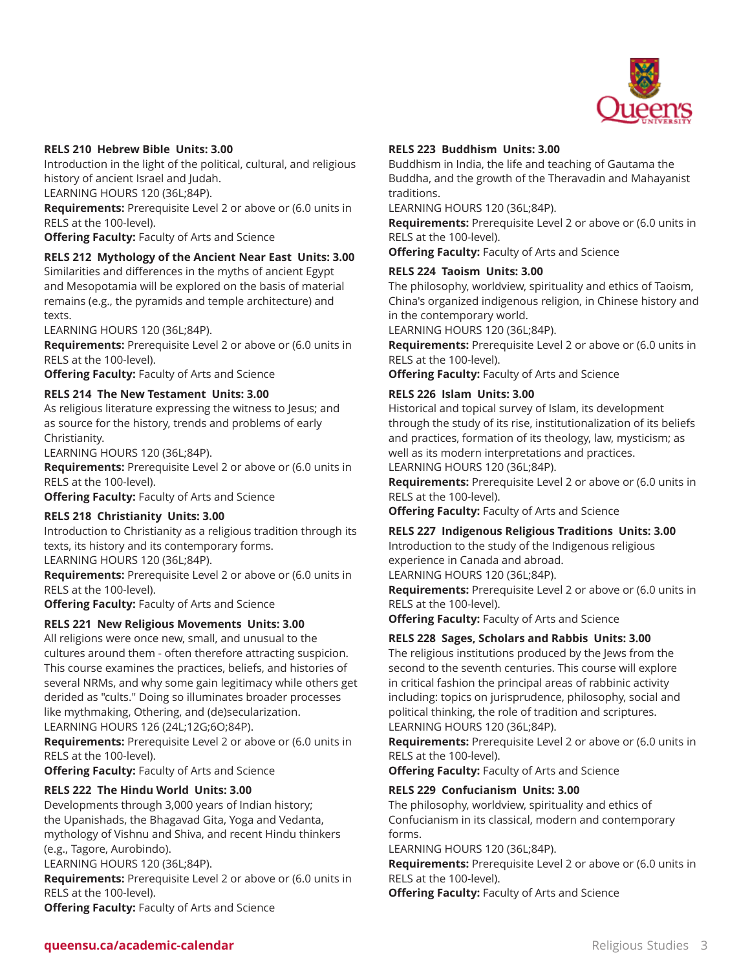

#### **RELS 210 Hebrew Bible Units: 3.00**

Introduction in the light of the political, cultural, and religious history of ancient Israel and Judah.

LEARNING HOURS 120 (36L;84P).

**Requirements:** Prerequisite Level 2 or above or (6.0 units in RELS at the 100-level).

**Offering Faculty:** Faculty of Arts and Science

#### **RELS 212 Mythology of the Ancient Near East Units: 3.00**

Similarities and differences in the myths of ancient Egypt and Mesopotamia will be explored on the basis of material remains (e.g., the pyramids and temple architecture) and texts.

LEARNING HOURS 120 (36L;84P).

**Requirements:** Prerequisite Level 2 or above or (6.0 units in RELS at the 100-level).

**Offering Faculty:** Faculty of Arts and Science

#### **RELS 214 The New Testament Units: 3.00**

As religious literature expressing the witness to Jesus; and as source for the history, trends and problems of early Christianity.

LEARNING HOURS 120 (36L;84P).

**Requirements:** Prerequisite Level 2 or above or (6.0 units in RELS at the 100-level).

**Offering Faculty:** Faculty of Arts and Science

#### **RELS 218 Christianity Units: 3.00**

Introduction to Christianity as a religious tradition through its texts, its history and its contemporary forms. LEARNING HOURS 120 (36L;84P).

**Requirements:** Prerequisite Level 2 or above or (6.0 units in RELS at the 100-level).

**Offering Faculty:** Faculty of Arts and Science

#### **RELS 221 New Religious Movements Units: 3.00**

All religions were once new, small, and unusual to the cultures around them - often therefore attracting suspicion. This course examines the practices, beliefs, and histories of several NRMs, and why some gain legitimacy while others get derided as "cults." Doing so illuminates broader processes like mythmaking, Othering, and (de)secularization.

LEARNING HOURS 126 (24L;12G;6O;84P).

**Requirements:** Prerequisite Level 2 or above or (6.0 units in RELS at the 100-level).

**Offering Faculty:** Faculty of Arts and Science

#### **RELS 222 The Hindu World Units: 3.00**

Developments through 3,000 years of Indian history; the Upanishads, the Bhagavad Gita, Yoga and Vedanta, mythology of Vishnu and Shiva, and recent Hindu thinkers (e.g., Tagore, Aurobindo).

LEARNING HOURS 120 (36L;84P).

**Requirements:** Prerequisite Level 2 or above or (6.0 units in RELS at the 100-level).

**Offering Faculty:** Faculty of Arts and Science

#### **RELS 223 Buddhism Units: 3.00**

Buddhism in India, the life and teaching of Gautama the Buddha, and the growth of the Theravadin and Mahayanist traditions.

LEARNING HOURS 120 (36L;84P).

**Requirements:** Prerequisite Level 2 or above or (6.0 units in RELS at the 100-level).

**Offering Faculty:** Faculty of Arts and Science

#### **RELS 224 Taoism Units: 3.00**

The philosophy, worldview, spirituality and ethics of Taoism, China's organized indigenous religion, in Chinese history and in the contemporary world.

LEARNING HOURS 120 (36L;84P).

**Requirements:** Prerequisite Level 2 or above or (6.0 units in RELS at the 100-level).

**Offering Faculty:** Faculty of Arts and Science

#### **RELS 226 Islam Units: 3.00**

Historical and topical survey of Islam, its development through the study of its rise, institutionalization of its beliefs and practices, formation of its theology, law, mysticism; as well as its modern interpretations and practices. LEARNING HOURS 120 (36L;84P).

**Requirements:** Prerequisite Level 2 or above or (6.0 units in RELS at the 100-level).

**Offering Faculty:** Faculty of Arts and Science

#### **RELS 227 Indigenous Religious Traditions Units: 3.00**

Introduction to the study of the Indigenous religious experience in Canada and abroad.

LEARNING HOURS 120 (36L;84P).

**Requirements:** Prerequisite Level 2 or above or (6.0 units in RELS at the 100-level).

**Offering Faculty:** Faculty of Arts and Science

#### **RELS 228 Sages, Scholars and Rabbis Units: 3.00**

The religious institutions produced by the Jews from the second to the seventh centuries. This course will explore in critical fashion the principal areas of rabbinic activity including: topics on jurisprudence, philosophy, social and political thinking, the role of tradition and scriptures. LEARNING HOURS 120 (36L;84P).

**Requirements:** Prerequisite Level 2 or above or (6.0 units in RELS at the 100-level).

**Offering Faculty:** Faculty of Arts and Science

#### **RELS 229 Confucianism Units: 3.00**

The philosophy, worldview, spirituality and ethics of Confucianism in its classical, modern and contemporary forms.

LEARNING HOURS 120 (36L;84P).

**Requirements:** Prerequisite Level 2 or above or (6.0 units in RELS at the 100-level).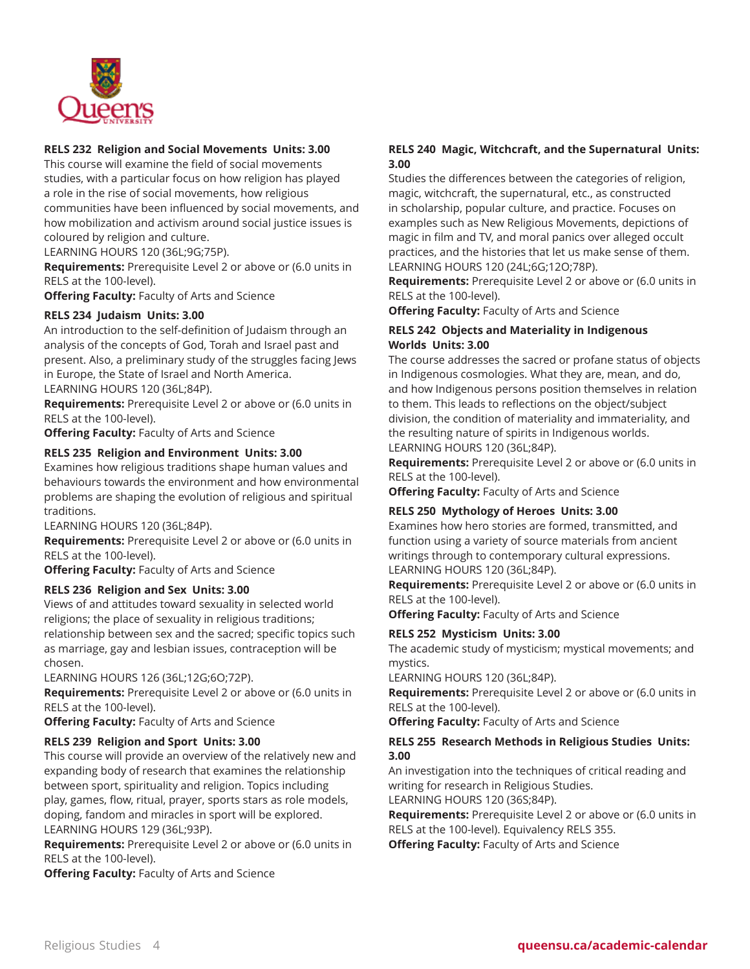

# **RELS 232 Religion and Social Movements Units: 3.00**

This course will examine the field of social movements studies, with a particular focus on how religion has played a role in the rise of social movements, how religious communities have been influenced by social movements, and how mobilization and activism around social justice issues is coloured by religion and culture.

LEARNING HOURS 120 (36L;9G;75P).

**Requirements:** Prerequisite Level 2 or above or (6.0 units in RELS at the 100-level).

**Offering Faculty:** Faculty of Arts and Science

#### **RELS 234 Judaism Units: 3.00**

An introduction to the self-definition of Judaism through an analysis of the concepts of God, Torah and Israel past and present. Also, a preliminary study of the struggles facing Jews in Europe, the State of Israel and North America. LEARNING HOURS 120 (36L;84P).

**Requirements:** Prerequisite Level 2 or above or (6.0 units in RELS at the 100-level).

**Offering Faculty:** Faculty of Arts and Science

#### **RELS 235 Religion and Environment Units: 3.00**

Examines how religious traditions shape human values and behaviours towards the environment and how environmental problems are shaping the evolution of religious and spiritual traditions.

LEARNING HOURS 120 (36L;84P).

**Requirements:** Prerequisite Level 2 or above or (6.0 units in RELS at the 100-level).

**Offering Faculty:** Faculty of Arts and Science

#### **RELS 236 Religion and Sex Units: 3.00**

Views of and attitudes toward sexuality in selected world religions; the place of sexuality in religious traditions; relationship between sex and the sacred; specific topics such as marriage, gay and lesbian issues, contraception will be chosen.

LEARNING HOURS 126 (36L;12G;6O;72P).

**Requirements:** Prerequisite Level 2 or above or (6.0 units in RELS at the 100-level).

**Offering Faculty:** Faculty of Arts and Science

#### **RELS 239 Religion and Sport Units: 3.00**

This course will provide an overview of the relatively new and expanding body of research that examines the relationship between sport, spirituality and religion. Topics including play, games, flow, ritual, prayer, sports stars as role models, doping, fandom and miracles in sport will be explored. LEARNING HOURS 129 (36L;93P).

**Requirements:** Prerequisite Level 2 or above or (6.0 units in RELS at the 100-level).

**Offering Faculty:** Faculty of Arts and Science

## **RELS 240 Magic, Witchcraft, and the Supernatural Units: 3.00**

Studies the differences between the categories of religion, magic, witchcraft, the supernatural, etc., as constructed in scholarship, popular culture, and practice. Focuses on examples such as New Religious Movements, depictions of magic in film and TV, and moral panics over alleged occult practices, and the histories that let us make sense of them. LEARNING HOURS 120 (24L;6G;12O;78P).

**Requirements:** Prerequisite Level 2 or above or (6.0 units in RELS at the 100-level).

**Offering Faculty:** Faculty of Arts and Science

#### **RELS 242 Objects and Materiality in Indigenous Worlds Units: 3.00**

The course addresses the sacred or profane status of objects in Indigenous cosmologies. What they are, mean, and do, and how Indigenous persons position themselves in relation to them. This leads to reflections on the object/subject division, the condition of materiality and immateriality, and the resulting nature of spirits in Indigenous worlds. LEARNING HOURS 120 (36L;84P).

**Requirements:** Prerequisite Level 2 or above or (6.0 units in RELS at the 100-level).

**Offering Faculty:** Faculty of Arts and Science

#### **RELS 250 Mythology of Heroes Units: 3.00**

Examines how hero stories are formed, transmitted, and function using a variety of source materials from ancient writings through to contemporary cultural expressions. LEARNING HOURS 120 (36L;84P).

**Requirements:** Prerequisite Level 2 or above or (6.0 units in RELS at the 100-level).

**Offering Faculty:** Faculty of Arts and Science

#### **RELS 252 Mysticism Units: 3.00**

The academic study of mysticism; mystical movements; and mystics.

LEARNING HOURS 120 (36L;84P).

**Requirements:** Prerequisite Level 2 or above or (6.0 units in RELS at the 100-level).

**Offering Faculty:** Faculty of Arts and Science

#### **RELS 255 Research Methods in Religious Studies Units: 3.00**

An investigation into the techniques of critical reading and writing for research in Religious Studies.

LEARNING HOURS 120 (36S;84P).

**Requirements:** Prerequisite Level 2 or above or (6.0 units in RELS at the 100-level). Equivalency RELS 355.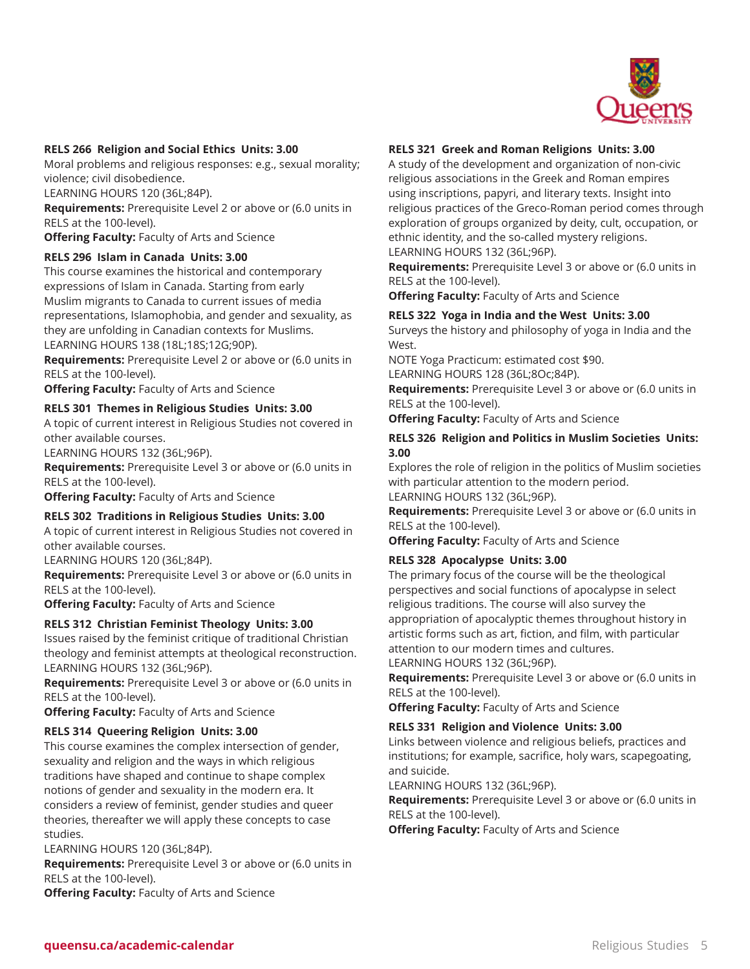

#### **RELS 266 Religion and Social Ethics Units: 3.00**

Moral problems and religious responses: e.g., sexual morality; violence; civil disobedience.

LEARNING HOURS 120 (36L;84P).

**Requirements:** Prerequisite Level 2 or above or (6.0 units in RELS at the 100-level).

**Offering Faculty:** Faculty of Arts and Science

#### **RELS 296 Islam in Canada Units: 3.00**

This course examines the historical and contemporary expressions of Islam in Canada. Starting from early Muslim migrants to Canada to current issues of media representations, Islamophobia, and gender and sexuality, as they are unfolding in Canadian contexts for Muslims. LEARNING HOURS 138 (18L;18S;12G;90P).

**Requirements:** Prerequisite Level 2 or above or (6.0 units in RELS at the 100-level).

**Offering Faculty:** Faculty of Arts and Science

#### **RELS 301 Themes in Religious Studies Units: 3.00**

A topic of current interest in Religious Studies not covered in other available courses.

LEARNING HOURS 132 (36L;96P).

**Requirements:** Prerequisite Level 3 or above or (6.0 units in RELS at the 100-level).

**Offering Faculty:** Faculty of Arts and Science

#### **RELS 302 Traditions in Religious Studies Units: 3.00**

A topic of current interest in Religious Studies not covered in other available courses.

LEARNING HOURS 120 (36L;84P).

**Requirements:** Prerequisite Level 3 or above or (6.0 units in RELS at the 100-level).

**Offering Faculty:** Faculty of Arts and Science

#### **RELS 312 Christian Feminist Theology Units: 3.00**

Issues raised by the feminist critique of traditional Christian theology and feminist attempts at theological reconstruction. LEARNING HOURS 132 (36L;96P).

**Requirements:** Prerequisite Level 3 or above or (6.0 units in RELS at the 100-level).

**Offering Faculty:** Faculty of Arts and Science

#### **RELS 314 Queering Religion Units: 3.00**

This course examines the complex intersection of gender, sexuality and religion and the ways in which religious traditions have shaped and continue to shape complex notions of gender and sexuality in the modern era. It considers a review of feminist, gender studies and queer theories, thereafter we will apply these concepts to case studies.

LEARNING HOURS 120 (36L;84P).

**Requirements:** Prerequisite Level 3 or above or (6.0 units in RELS at the 100-level).

**Offering Faculty:** Faculty of Arts and Science

#### **RELS 321 Greek and Roman Religions Units: 3.00**

A study of the development and organization of non-civic religious associations in the Greek and Roman empires using inscriptions, papyri, and literary texts. Insight into religious practices of the Greco-Roman period comes through exploration of groups organized by deity, cult, occupation, or ethnic identity, and the so-called mystery religions. LEARNING HOURS 132 (36L;96P).

**Requirements:** Prerequisite Level 3 or above or (6.0 units in RELS at the 100-level).

**Offering Faculty:** Faculty of Arts and Science

#### **RELS 322 Yoga in India and the West Units: 3.00**

Surveys the history and philosophy of yoga in India and the West.

NOTE Yoga Practicum: estimated cost \$90.

LEARNING HOURS 128 (36L;8Oc;84P).

**Requirements:** Prerequisite Level 3 or above or (6.0 units in RELS at the 100-level).

**Offering Faculty:** Faculty of Arts and Science

#### **RELS 326 Religion and Politics in Muslim Societies Units: 3.00**

Explores the role of religion in the politics of Muslim societies with particular attention to the modern period. LEARNING HOURS 132 (36L;96P).

**Requirements:** Prerequisite Level 3 or above or (6.0 units in RELS at the 100-level).

**Offering Faculty:** Faculty of Arts and Science

#### **RELS 328 Apocalypse Units: 3.00**

The primary focus of the course will be the theological perspectives and social functions of apocalypse in select religious traditions. The course will also survey the appropriation of apocalyptic themes throughout history in artistic forms such as art, fiction, and film, with particular attention to our modern times and cultures. LEARNING HOURS 132 (36L;96P).

**Requirements:** Prerequisite Level 3 or above or (6.0 units in

RELS at the 100-level).

**Offering Faculty:** Faculty of Arts and Science

#### **RELS 331 Religion and Violence Units: 3.00**

Links between violence and religious beliefs, practices and institutions; for example, sacrifice, holy wars, scapegoating, and suicide.

LEARNING HOURS 132 (36L;96P).

**Requirements:** Prerequisite Level 3 or above or (6.0 units in RELS at the 100-level).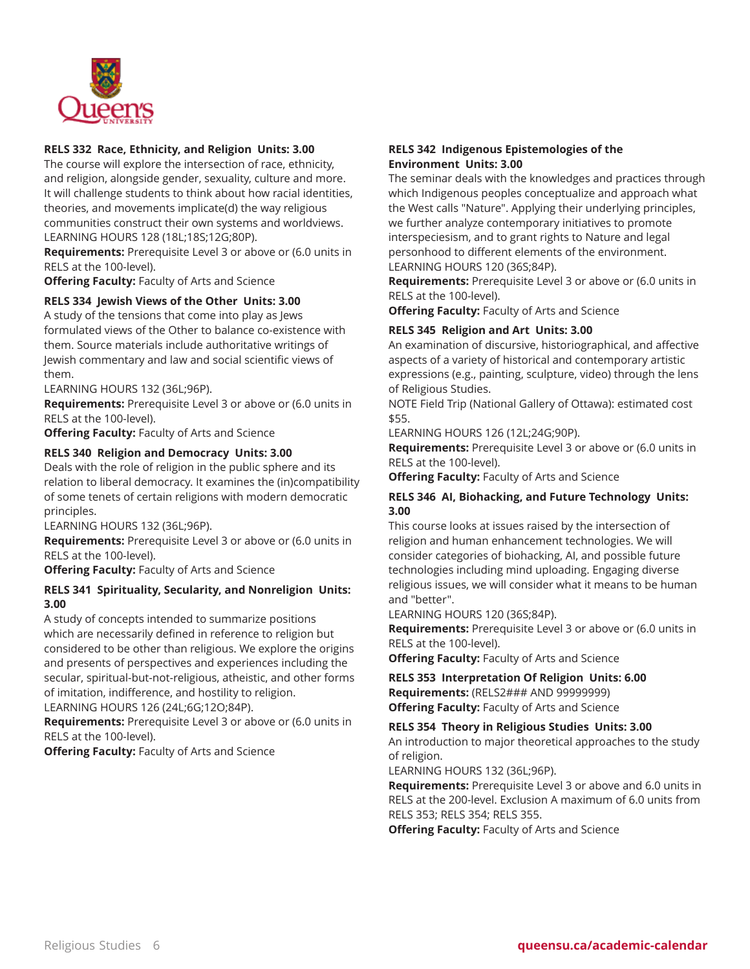

#### **RELS 332 Race, Ethnicity, and Religion Units: 3.00**

The course will explore the intersection of race, ethnicity, and religion, alongside gender, sexuality, culture and more. It will challenge students to think about how racial identities, theories, and movements implicate(d) the way religious communities construct their own systems and worldviews. LEARNING HOURS 128 (18L;18S;12G;80P).

**Requirements:** Prerequisite Level 3 or above or (6.0 units in RELS at the 100-level).

**Offering Faculty:** Faculty of Arts and Science

## **RELS 334 Jewish Views of the Other Units: 3.00**

A study of the tensions that come into play as Jews formulated views of the Other to balance co-existence with them. Source materials include authoritative writings of Jewish commentary and law and social scientific views of them.

LEARNING HOURS 132 (36L;96P).

**Requirements:** Prerequisite Level 3 or above or (6.0 units in RELS at the 100-level).

**Offering Faculty:** Faculty of Arts and Science

#### **RELS 340 Religion and Democracy Units: 3.00**

Deals with the role of religion in the public sphere and its relation to liberal democracy. It examines the (in)compatibility of some tenets of certain religions with modern democratic principles.

LEARNING HOURS 132 (36L;96P).

**Requirements:** Prerequisite Level 3 or above or (6.0 units in RELS at the 100-level).

**Offering Faculty:** Faculty of Arts and Science

#### **RELS 341 Spirituality, Secularity, and Nonreligion Units: 3.00**

A study of concepts intended to summarize positions which are necessarily defined in reference to religion but considered to be other than religious. We explore the origins and presents of perspectives and experiences including the secular, spiritual-but-not-religious, atheistic, and other forms of imitation, indifference, and hostility to religion.

LEARNING HOURS 126 (24L;6G;12O;84P).

**Requirements:** Prerequisite Level 3 or above or (6.0 units in RELS at the 100-level).

**Offering Faculty:** Faculty of Arts and Science

#### **RELS 342 Indigenous Epistemologies of the Environment Units: 3.00**

The seminar deals with the knowledges and practices through which Indigenous peoples conceptualize and approach what the West calls "Nature". Applying their underlying principles, we further analyze contemporary initiatives to promote interspeciesism, and to grant rights to Nature and legal personhood to different elements of the environment. LEARNING HOURS 120 (36S;84P).

**Requirements:** Prerequisite Level 3 or above or (6.0 units in RELS at the 100-level).

**Offering Faculty:** Faculty of Arts and Science

#### **RELS 345 Religion and Art Units: 3.00**

An examination of discursive, historiographical, and affective aspects of a variety of historical and contemporary artistic expressions (e.g., painting, sculpture, video) through the lens of Religious Studies.

NOTE Field Trip (National Gallery of Ottawa): estimated cost \$55.

LEARNING HOURS 126 (12L;24G;90P).

**Requirements:** Prerequisite Level 3 or above or (6.0 units in RELS at the 100-level).

**Offering Faculty:** Faculty of Arts and Science

## **RELS 346 AI, Biohacking, and Future Technology Units: 3.00**

This course looks at issues raised by the intersection of religion and human enhancement technologies. We will consider categories of biohacking, AI, and possible future technologies including mind uploading. Engaging diverse religious issues, we will consider what it means to be human and "better".

LEARNING HOURS 120 (36S;84P).

**Requirements:** Prerequisite Level 3 or above or (6.0 units in RELS at the 100-level).

**Offering Faculty:** Faculty of Arts and Science

**RELS 353 Interpretation Of Religion Units: 6.00 Requirements:** (RELS2### AND 99999999) **Offering Faculty:** Faculty of Arts and Science

**RELS 354 Theory in Religious Studies Units: 3.00**

An introduction to major theoretical approaches to the study of religion.

LEARNING HOURS 132 (36L;96P).

**Requirements:** Prerequisite Level 3 or above and 6.0 units in RELS at the 200-level. Exclusion A maximum of 6.0 units from RELS 353; RELS 354; RELS 355.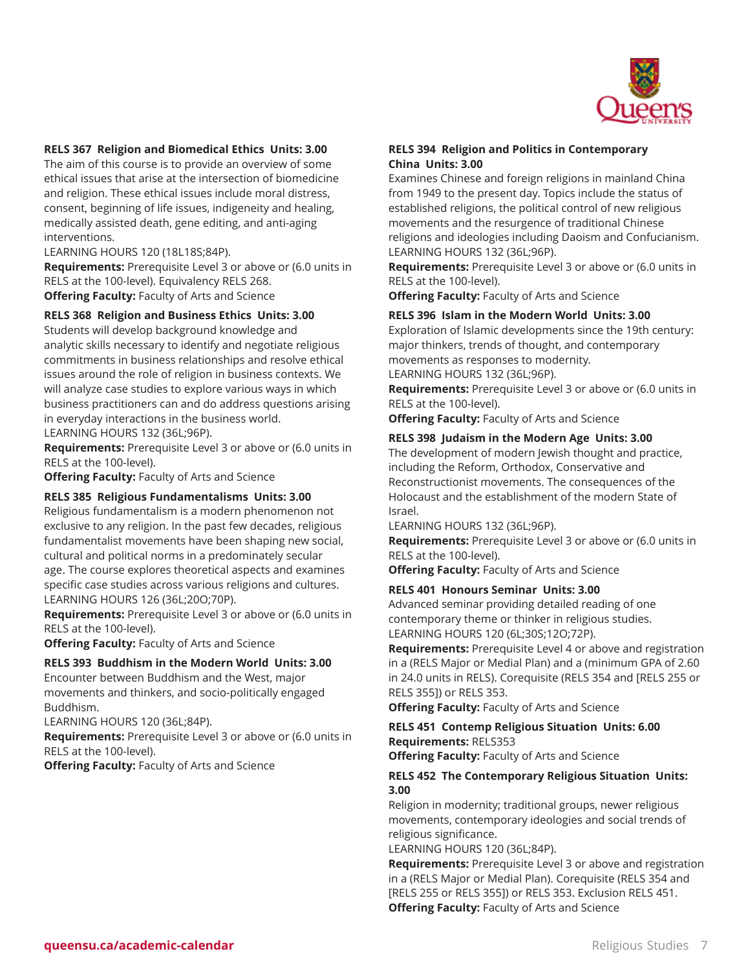

#### **RELS 367 Religion and Biomedical Ethics Units: 3.00**

The aim of this course is to provide an overview of some ethical issues that arise at the intersection of biomedicine and religion. These ethical issues include moral distress, consent, beginning of life issues, indigeneity and healing, medically assisted death, gene editing, and anti-aging interventions.

LEARNING HOURS 120 (18L18S;84P).

**Requirements:** Prerequisite Level 3 or above or (6.0 units in RELS at the 100-level). Equivalency RELS 268.

**Offering Faculty:** Faculty of Arts and Science

# **RELS 368 Religion and Business Ethics Units: 3.00**

Students will develop background knowledge and analytic skills necessary to identify and negotiate religious commitments in business relationships and resolve ethical issues around the role of religion in business contexts. We will analyze case studies to explore various ways in which business practitioners can and do address questions arising in everyday interactions in the business world. LEARNING HOURS 132 (36L;96P).

**Requirements:** Prerequisite Level 3 or above or (6.0 units in RELS at the 100-level).

**Offering Faculty:** Faculty of Arts and Science

#### **RELS 385 Religious Fundamentalisms Units: 3.00**

Religious fundamentalism is a modern phenomenon not exclusive to any religion. In the past few decades, religious fundamentalist movements have been shaping new social, cultural and political norms in a predominately secular age. The course explores theoretical aspects and examines specific case studies across various religions and cultures. LEARNING HOURS 126 (36L;20O;70P).

**Requirements:** Prerequisite Level 3 or above or (6.0 units in RELS at the 100-level).

**Offering Faculty:** Faculty of Arts and Science

#### **RELS 393 Buddhism in the Modern World Units: 3.00**

Encounter between Buddhism and the West, major movements and thinkers, and socio-politically engaged Buddhism.

LEARNING HOURS 120 (36L;84P).

**Requirements:** Prerequisite Level 3 or above or (6.0 units in RELS at the 100-level).

**Offering Faculty:** Faculty of Arts and Science

#### **RELS 394 Religion and Politics in Contemporary China Units: 3.00**

Examines Chinese and foreign religions in mainland China from 1949 to the present day. Topics include the status of established religions, the political control of new religious movements and the resurgence of traditional Chinese religions and ideologies including Daoism and Confucianism. LEARNING HOURS 132 (36L;96P).

**Requirements:** Prerequisite Level 3 or above or (6.0 units in RELS at the 100-level).

**Offering Faculty:** Faculty of Arts and Science

# **RELS 396 Islam in the Modern World Units: 3.00**

Exploration of Islamic developments since the 19th century: major thinkers, trends of thought, and contemporary movements as responses to modernity.

LEARNING HOURS 132 (36L;96P).

**Requirements:** Prerequisite Level 3 or above or (6.0 units in RELS at the 100-level).

**Offering Faculty:** Faculty of Arts and Science

#### **RELS 398 Judaism in the Modern Age Units: 3.00**

The development of modern Jewish thought and practice, including the Reform, Orthodox, Conservative and Reconstructionist movements. The consequences of the Holocaust and the establishment of the modern State of Israel.

LEARNING HOURS 132 (36L;96P).

**Requirements:** Prerequisite Level 3 or above or (6.0 units in RELS at the 100-level).

**Offering Faculty:** Faculty of Arts and Science

#### **RELS 401 Honours Seminar Units: 3.00**

Advanced seminar providing detailed reading of one contemporary theme or thinker in religious studies. LEARNING HOURS 120 (6L;30S;12O;72P).

**Requirements:** Prerequisite Level 4 or above and registration in a (RELS Major or Medial Plan) and a (minimum GPA of 2.60 in 24.0 units in RELS). Corequisite (RELS 354 and [RELS 255 or RELS 355]) or RELS 353.

**Offering Faculty:** Faculty of Arts and Science

#### **RELS 451 Contemp Religious Situation Units: 6.00 Requirements:** RELS353

**Offering Faculty:** Faculty of Arts and Science

#### **RELS 452 The Contemporary Religious Situation Units: 3.00**

Religion in modernity; traditional groups, newer religious movements, contemporary ideologies and social trends of religious significance.

LEARNING HOURS 120 (36L;84P).

**Requirements:** Prerequisite Level 3 or above and registration in a (RELS Major or Medial Plan). Corequisite (RELS 354 and [RELS 255 or RELS 355]) or RELS 353. Exclusion RELS 451. **Offering Faculty:** Faculty of Arts and Science